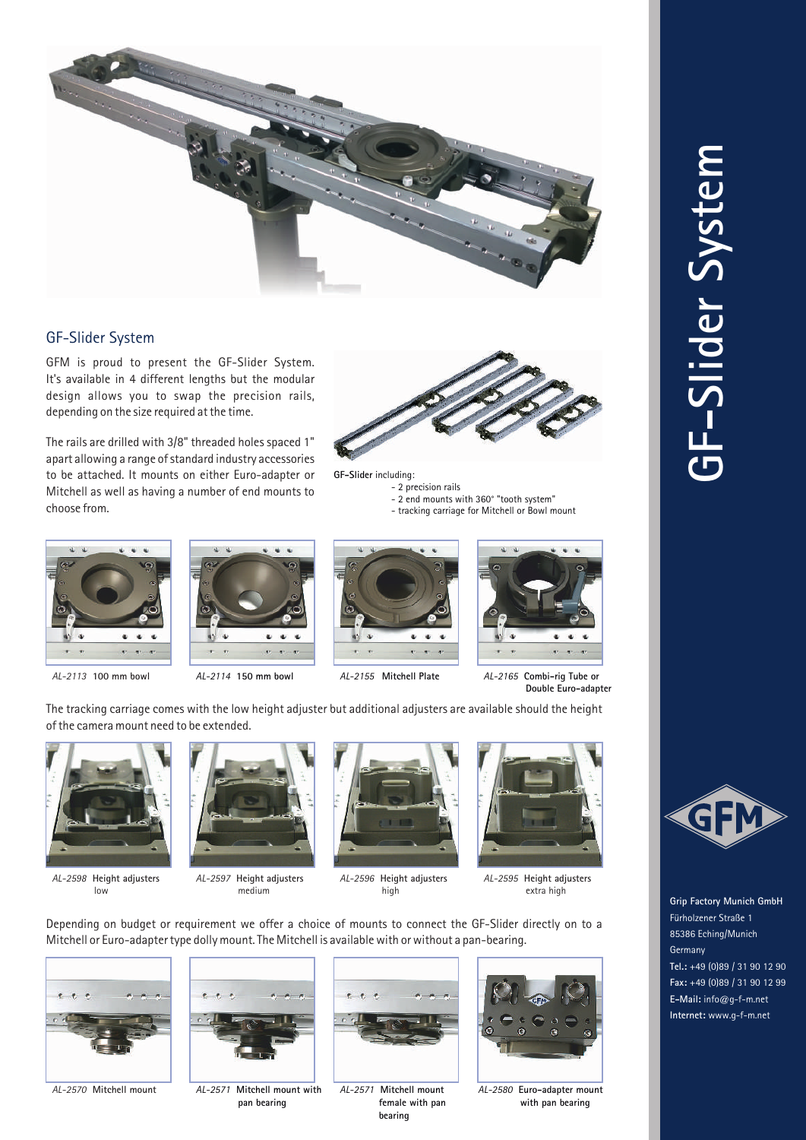

## GF-Slider System

GFM is proud to present the GF-Slider System. It's available in 4 different lengths but the modular design allows you to swap the precision rails, depending on the size required at the time.

The rails are drilled with 3/8" threaded holes spaced 1" apart allowing a range of standard industry accessories to be attached. It mounts on either Euro-adapter or Mitchell as well as having a number of end mounts to choose from.



**GF-Slider** including:

- 2 precision rails

- 2 end mounts with 360° "tooth system"
- tracking carriage for Mitchell or Bowl mount









*AL-2113* **100 mm bowl** *AL-2114* **150 mm bowl** *AL-2155* **Mitchell Plate** *AL-2165* **Combi-rig Tube or Double Euro-adapter**

The tracking carriage comes with the low height adjuster but additional adjusters are available should the height of the camera mount need to be extended.



*AL-2598* **Height adjusters** low



*AL-2597* **Height adjusters** medium



*AL-2596* **Height adjusters** high



*AL-2595* **Height adjusters** extra high

Depending on budget or requirement we offer a choice of mounts to connect the GF-Slider directly on to a Mitchell or Euro-adapter type dolly mount. The Mitchell is available with or without a pan-bearing.





*AL-2570* **Mitchell mount** *AL-2571* **Mitchell mount with pan bearing**



*AL-2571* **Mitchell mount female with pan bearing**



*AL-2580* **Euro-adapter mount with pan bearing**





**Grip Factory Munich GmbH** Fürholzener Straße 1 85386 Eching/Munich Germany **Tel.:** +49 (0)89 / 31 90 12 90 **Fax:** +49 (0)89 / 31 90 12 99 **E-Mail:** info@g-f-m.net **Internet:** www.g-f-m.net